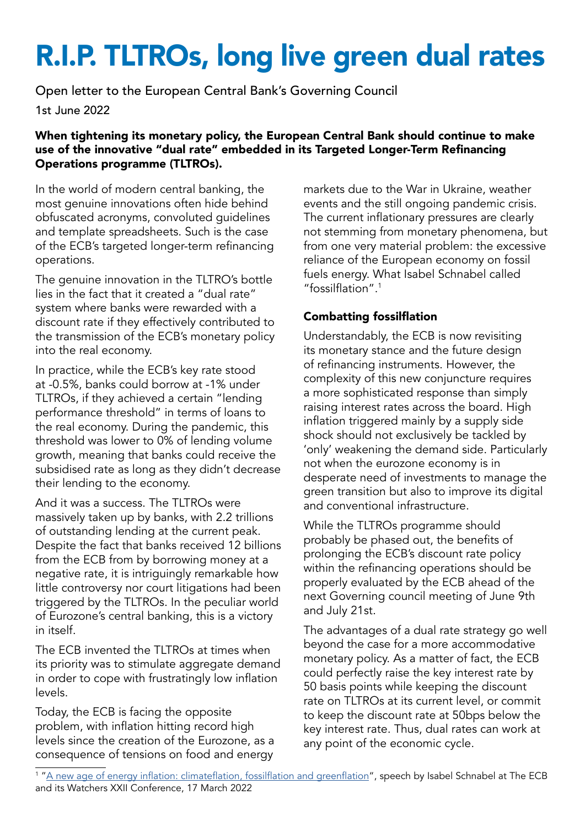# R.I.P. TLTROs, long live green dual rates

Open letter to the European Central Bank's Governing Council

1st June 2022

#### When tightening its monetary policy, the European Central Bank should continue to make use of the innovative "dual rate" embedded in its Targeted Longer-Term Refinancing Operations programme (TLTROs).

In the world of modern central banking, the most genuine innovations often hide behind obfuscated acronyms, convoluted guidelines and template spreadsheets. Such is the case of the ECB's targeted longer-term refinancing operations.

The genuine innovation in the TLTRO's bottle lies in the fact that it created a "dual rate" system where banks were rewarded with a discount rate if they effectively contributed to the transmission of the ECB's monetary policy into the real economy.

In practice, while the ECB's key rate stood at -0.5%, banks could borrow at -1% under TLTROs, if they achieved a certain "lending performance threshold" in terms of loans to the real economy. During the pandemic, this threshold was lower to 0% of lending volume growth, meaning that banks could receive the subsidised rate as long as they didn't decrease their lending to the economy.

And it was a success. The TLTROs were massively taken up by banks, with 2.2 trillions of outstanding lending at the current peak. Despite the fact that banks received 12 billions from the ECB from by borrowing money at a negative rate, it is intriguingly remarkable how little controversy nor court litigations had been triggered by the TLTROs. In the peculiar world of Eurozone's central banking, this is a victory in itself.

The ECB invented the TLTROs at times when its priority was to stimulate aggregate demand in order to cope with frustratingly low inflation levels.

Today, the ECB is facing the opposite problem, with inflation hitting record high levels since the creation of the Eurozone, as a consequence of tensions on food and energy

markets due to the War in Ukraine, weather events and the still ongoing pandemic crisis. The current inflationary pressures are clearly not stemming from monetary phenomena, but from one very material problem: the excessive reliance of the European economy on fossil fuels energy. What Isabel Schnabel called "fossilflation".<sup>1</sup>

### Combatting fossilflation

Understandably, the ECB is now revisiting its monetary stance and the future design of refinancing instruments. However, the complexity of this new conjuncture requires a more sophisticated response than simply raising interest rates across the board. High inflation triggered mainly by a supply side shock should not exclusively be tackled by 'only' weakening the demand side. Particularly not when the eurozone economy is in desperate need of investments to manage the green transition but also to improve its digital and conventional infrastructure.

While the TLTROs programme should probably be phased out, the benefits of prolonging the ECB's discount rate policy within the refinancing operations should be properly evaluated by the ECB ahead of the next Governing council meeting of June 9th and July 21st.

The advantages of a dual rate strategy go well beyond the case for a more accommodative monetary policy. As a matter of fact, the ECB could perfectly raise the key interest rate by 50 basis points while keeping the discount rate on TLTROs at its current level, or commit to keep the discount rate at 50bps below the key interest rate. Thus, dual rates can work at any point of the economic cycle.

<sup>&</sup>lt;sup>1</sup> "<u>[A new age of energy inflation: climateflation, fossilflation and greenflation](https://www.ecb.europa.eu/press/key/date/2022/html/ecb.sp220317_2~dbb3582f0a.en.html)</u>", speech by Isabel Schnabel at The ECB and its Watchers XXII Conference, 17 March 2022